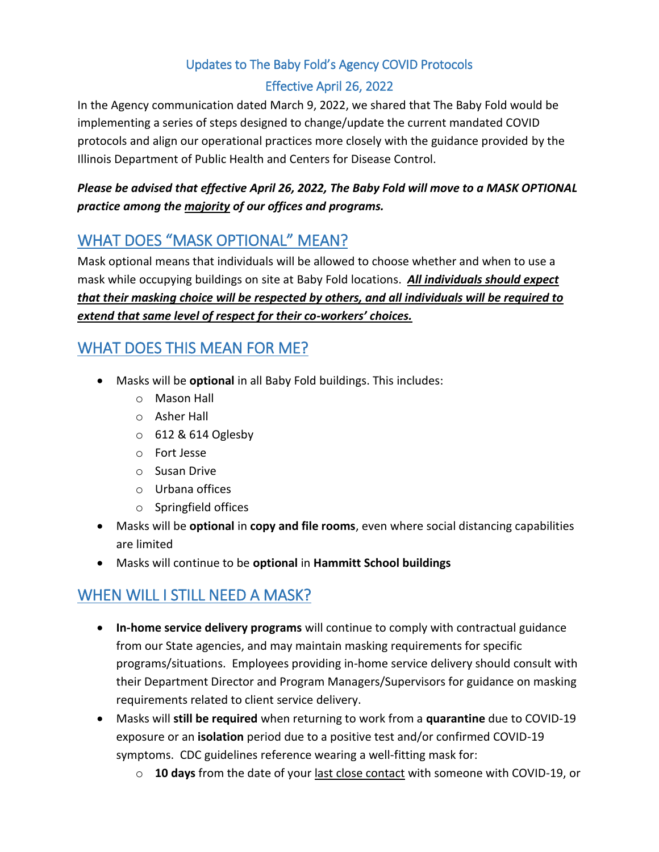## Updates to The Baby Fold's Agency COVID Protocols

### Effective April 26, 2022

In the Agency communication dated March 9, 2022, we shared that The Baby Fold would be implementing a series of steps designed to change/update the current mandated COVID protocols and align our operational practices more closely with the guidance provided by the Illinois Department of Public Health and Centers for Disease Control.

### *Please be advised that effective April 26, 2022, The Baby Fold will move to a MASK OPTIONAL practice among the majority of our offices and programs.*

## WHAT DOES "MASK OPTIONAL" MEAN?

Mask optional means that individuals will be allowed to choose whether and when to use a mask while occupying buildings on site at Baby Fold locations. *All individuals should expect that their masking choice will be respected by others, and all individuals will be required to extend that same level of respect for their co-workers' choices.*

## WHAT DOES THIS MEAN FOR ME?

- Masks will be **optional** in all Baby Fold buildings. This includes:
	- o Mason Hall
	- o Asher Hall
	- o 612 & 614 Oglesby
	- o Fort Jesse
	- o Susan Drive
	- o Urbana offices
	- o Springfield offices
- Masks will be **optional** in **copy and file rooms**, even where social distancing capabilities are limited
- Masks will continue to be **optional** in **Hammitt School buildings**

# WHEN WILL I STILL NEED A MASK?

- **In-home service delivery programs** will continue to comply with contractual guidance from our State agencies, and may maintain masking requirements for specific programs/situations. Employees providing in-home service delivery should consult with their Department Director and Program Managers/Supervisors for guidance on masking requirements related to client service delivery.
- Masks will **still be required** when returning to work from a **quarantine** due to COVID-19 exposure or an **isolation** period due to a positive test and/or confirmed COVID-19 symptoms. CDC guidelines reference wearing a well-fitting mask for:
	- o **10 days** from the date of your last close contact with someone with COVID-19, or